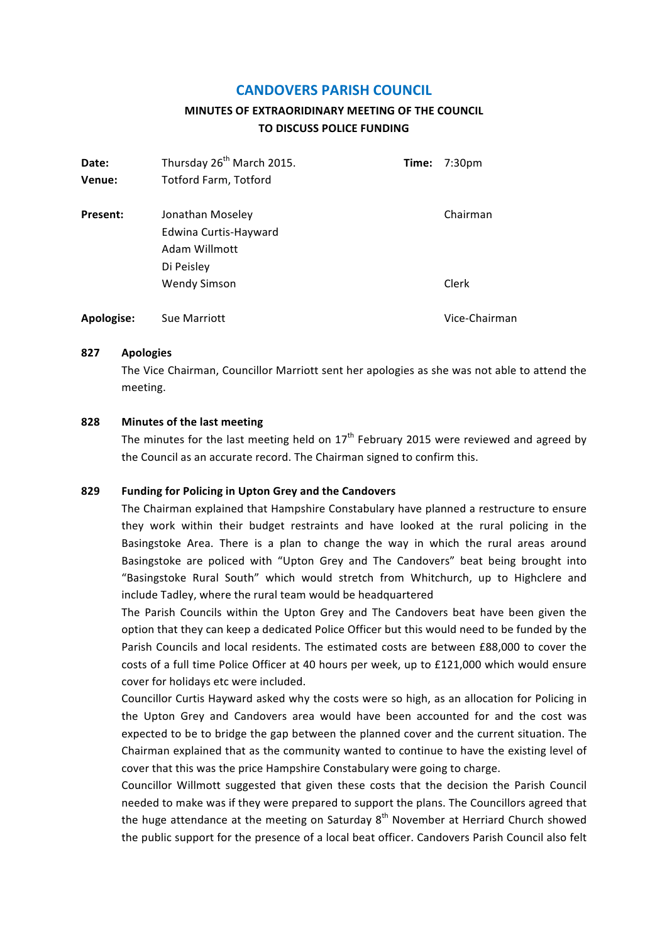# **CANDOVERS PARISH COUNCIL**

# **MINUTES OF EXTRAORIDINARY MEETING OF THE COUNCIL TO DISCUSS POLICE FUNDING**

| Date:      | Thursday 26 <sup>th</sup> March 2015. | Time: | 7:30 <sub>pm</sub> |
|------------|---------------------------------------|-------|--------------------|
| Venue:     | <b>Totford Farm, Totford</b>          |       |                    |
| Present:   | Jonathan Moseley                      |       | Chairman           |
|            | Edwina Curtis-Hayward                 |       |                    |
|            | Adam Willmott                         |       |                    |
|            | Di Peisley                            |       |                    |
|            | <b>Wendy Simson</b>                   |       | Clerk              |
| Apologise: | <b>Sue Marriott</b>                   |       | Vice-Chairman      |

#### **827 Apologies**

The Vice Chairman, Councillor Marriott sent her apologies as she was not able to attend the meeting.

## **828 Minutes of the last meeting**

The minutes for the last meeting held on  $17<sup>th</sup>$  February 2015 were reviewed and agreed by the Council as an accurate record. The Chairman signed to confirm this.

#### **829 Funding for Policing in Upton Grey and the Candovers**

The Chairman explained that Hampshire Constabulary have planned a restructure to ensure they work within their budget restraints and have looked at the rural policing in the Basingstoke Area. There is a plan to change the way in which the rural areas around Basingstoke are policed with "Upton Grey and The Candovers" beat being brought into "Basingstoke Rural South" which would stretch from Whitchurch, up to Highclere and include Tadley, where the rural team would be headquartered

The Parish Councils within the Upton Grey and The Candovers beat have been given the option that they can keep a dedicated Police Officer but this would need to be funded by the Parish Councils and local residents. The estimated costs are between £88,000 to cover the costs of a full time Police Officer at 40 hours per week, up to £121,000 which would ensure cover for holidays etc were included.

Councillor Curtis Hayward asked why the costs were so high, as an allocation for Policing in the Upton Grey and Candovers area would have been accounted for and the cost was expected to be to bridge the gap between the planned cover and the current situation. The Chairman explained that as the community wanted to continue to have the existing level of cover that this was the price Hampshire Constabulary were going to charge.

Councillor Willmott suggested that given these costs that the decision the Parish Council needed to make was if they were prepared to support the plans. The Councillors agreed that the huge attendance at the meeting on Saturday  $8<sup>th</sup>$  November at Herriard Church showed the public support for the presence of a local beat officer. Candovers Parish Council also felt